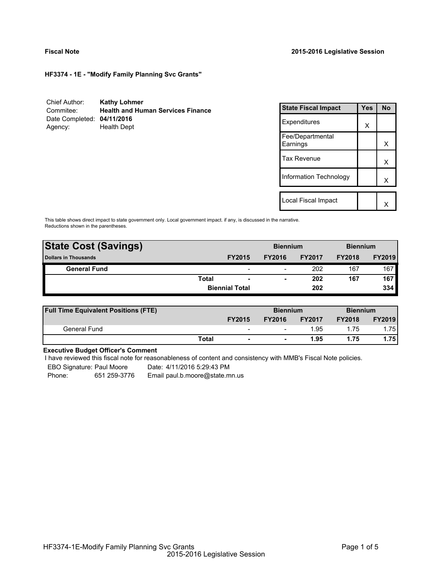**HF3374 - 1E - "Modify Family Planning Svc Grants"**

| Chief Author:              | <b>Kathy Lohmer</b>                      |
|----------------------------|------------------------------------------|
| Commitee:                  | <b>Health and Human Services Finance</b> |
| Date Completed: 04/11/2016 |                                          |
| Agency:                    | <b>Health Dept</b>                       |

| <b>State Fiscal Impact</b>   | Yes | N٥ |
|------------------------------|-----|----|
| Expenditures                 | X   |    |
| Fee/Departmental<br>Earnings |     | x  |
| <b>Tax Revenue</b>           |     | x  |
| Information Technology       |     | x  |
|                              |     |    |
| Local Fiscal Impact          |     |    |

This table shows direct impact to state government only. Local government impact. if any, is discussed in the narrative. Reductions shown in the parentheses.

| <b>State Cost (Savings)</b> |              |                          | <b>Biennium</b> |               | <b>Biennium</b> |               |
|-----------------------------|--------------|--------------------------|-----------------|---------------|-----------------|---------------|
| <b>Dollars in Thousands</b> |              | <b>FY2015</b>            | <b>FY2016</b>   | <b>FY2017</b> | <b>FY2018</b>   | <b>FY2019</b> |
| <b>General Fund</b>         |              | $\overline{\phantom{a}}$ | -               | 202           | 167             | 167           |
|                             | <b>Total</b> | $\overline{\phantom{a}}$ |                 | 202           | 167             | 167           |
|                             |              | <b>Biennial Total</b>    |                 | 202           |                 | 334           |
|                             |              |                          |                 |               |                 |               |

| <b>Full Time Equivalent Positions (FTE)</b> |       |                          | <b>Biennium</b>          |               | <b>Biennium</b> |               |
|---------------------------------------------|-------|--------------------------|--------------------------|---------------|-----------------|---------------|
|                                             |       | <b>FY2015</b>            | <b>FY2016</b>            | <b>FY2017</b> | <b>FY2018</b>   | <b>FY2019</b> |
| General Fund                                |       | $\overline{\phantom{0}}$ | $\overline{\phantom{0}}$ | 1.95          | 1.75            | l.75 l        |
|                                             | Total | $\blacksquare$           |                          | 1.95          | 1.75            | 1.75          |

## **Executive Budget Officer's Comment**

I have reviewed this fiscal note for reasonableness of content and consistency with MMB's Fiscal Note policies.

EBO Signature: Paul Moore Date: 4/11/2016 5:29:43 PM

Phone: 651 259-3776 Email paul.b.moore@state.mn.us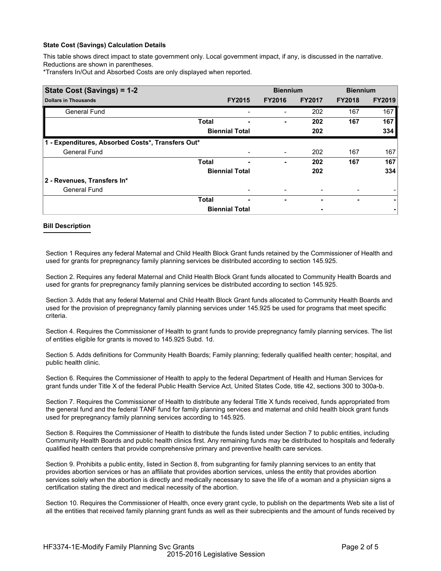### **State Cost (Savings) Calculation Details**

This table shows direct impact to state government only. Local government impact, if any, is discussed in the narrative. Reductions are shown in parentheses.

\*Transfers In/Out and Absorbed Costs are only displayed when reported.

| State Cost (Savings) = 1-2                        |              |                       | <b>Biennium</b>          |               | <b>Biennium</b> |               |
|---------------------------------------------------|--------------|-----------------------|--------------------------|---------------|-----------------|---------------|
| <b>Dollars in Thousands</b>                       |              | <b>FY2015</b>         | <b>FY2016</b>            | <b>FY2017</b> | <b>FY2018</b>   | <b>FY2019</b> |
| <b>General Fund</b>                               |              |                       |                          | 202           | 167             | 167           |
|                                                   | <b>Total</b> |                       | ۰                        | 202           | 167             | 167           |
|                                                   |              | <b>Biennial Total</b> |                          | 202           |                 | 334           |
| 1 - Expenditures, Absorbed Costs*, Transfers Out* |              |                       |                          |               |                 |               |
| <b>General Fund</b>                               |              |                       | $\overline{\phantom{0}}$ | 202           | 167             | 167           |
|                                                   | <b>Total</b> |                       | ٠                        | 202           | 167             | 167           |
|                                                   |              | <b>Biennial Total</b> |                          | 202           |                 | 334           |
| 2 - Revenues, Transfers In*                       |              |                       |                          |               |                 |               |
| <b>General Fund</b>                               |              |                       |                          |               |                 |               |
|                                                   | <b>Total</b> | ٠                     | -                        |               | ۰               | ۰             |
|                                                   |              | <b>Biennial Total</b> |                          |               |                 |               |

#### **Bill Description**

Section 1 Requires any federal Maternal and Child Health Block Grant funds retained by the Commissioner of Health and used for grants for prepregnancy family planning services be distributed according to section 145.925.

Section 2. Requires any federal Maternal and Child Health Block Grant funds allocated to Community Health Boards and used for grants for prepregnancy family planning services be distributed according to section 145.925.

Section 3. Adds that any federal Maternal and Child Health Block Grant funds allocated to Community Health Boards and used for the provision of prepregnancy family planning services under 145.925 be used for programs that meet specific criteria.

Section 4. Requires the Commissioner of Health to grant funds to provide prepregnancy family planning services. The list of entities eligible for grants is moved to 145.925 Subd. 1d.

Section 5. Adds definitions for Community Health Boards; Family planning; federally qualified health center; hospital, and public health clinic.

Section 6. Requires the Commissioner of Health to apply to the federal Department of Health and Human Services for grant funds under Title X of the federal Public Health Service Act, United States Code, title 42, sections 300 to 300a-b.

Section 7. Requires the Commissioner of Health to distribute any federal Title X funds received, funds appropriated from the general fund and the federal TANF fund for family planning services and maternal and child health block grant funds used for prepregnancy family planning services according to 145.925.

Section 8. Requires the Commissioner of Health to distribute the funds listed under Section 7 to public entities, including Community Health Boards and public health clinics first. Any remaining funds may be distributed to hospitals and federally qualified health centers that provide comprehensive primary and preventive health care services.

Section 9. Prohibits a public entity, listed in Section 8, from subgranting for family planning services to an entity that provides abortion services or has an affiliate that provides abortion services, unless the entity that provides abortion services solely when the abortion is directly and medically necessary to save the life of a woman and a physician signs a certification stating the direct and medical necessity of the abortion.

Section 10. Requires the Commissioner of Health, once every grant cycle, to publish on the departments Web site a list of all the entities that received family planning grant funds as well as their subrecipients and the amount of funds received by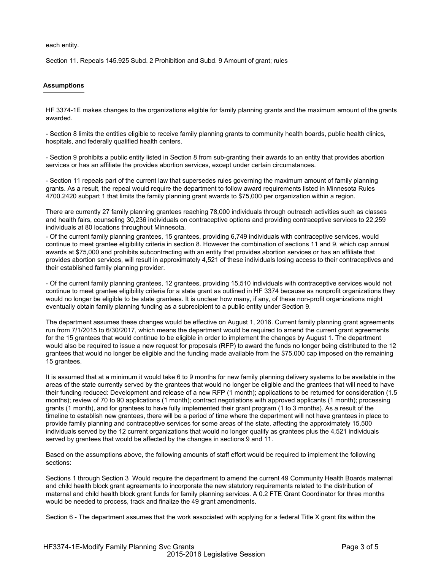each entity.

Section 11. Repeals 145.925 Subd. 2 Prohibition and Subd. 9 Amount of grant; rules

### **Assumptions**

HF 3374-1E makes changes to the organizations eligible for family planning grants and the maximum amount of the grants awarded.

- Section 8 limits the entities eligible to receive family planning grants to community health boards, public health clinics, hospitals, and federally qualified health centers.

- Section 9 prohibits a public entity listed in Section 8 from sub-granting their awards to an entity that provides abortion services or has an affiliate the provides abortion services, except under certain circumstances.

- Section 11 repeals part of the current law that supersedes rules governing the maximum amount of family planning grants. As a result, the repeal would require the department to follow award requirements listed in Minnesota Rules 4700.2420 subpart 1 that limits the family planning grant awards to \$75,000 per organization within a region.

There are currently 27 family planning grantees reaching 78,000 individuals through outreach activities such as classes and health fairs, counseling 30,236 individuals on contraceptive options and providing contraceptive services to 22,259 individuals at 80 locations throughout Minnesota.

- Of the current family planning grantees, 15 grantees, providing 6,749 individuals with contraceptive services, would continue to meet grantee eligibility criteria in section 8. However the combination of sections 11 and 9, which cap annual awards at \$75,000 and prohibits subcontracting with an entity that provides abortion services or has an affiliate that provides abortion services, will result in approximately 4,521 of these individuals losing access to their contraceptives and their established family planning provider.

- Of the current family planning grantees, 12 grantees, providing 15,510 individuals with contraceptive services would not continue to meet grantee eligibility criteria for a state grant as outlined in HF 3374 because as nonprofit organizations they would no longer be eligible to be state grantees. It is unclear how many, if any, of these non-profit organizations might eventually obtain family planning funding as a subrecipient to a public entity under Section 9.

The department assumes these changes would be effective on August 1, 2016. Current family planning grant agreements run from 7/1/2015 to 6/30/2017, which means the department would be required to amend the current grant agreements for the 15 grantees that would continue to be eligible in order to implement the changes by August 1. The department would also be required to issue a new request for proposals (RFP) to award the funds no longer being distributed to the 12 grantees that would no longer be eligible and the funding made available from the \$75,000 cap imposed on the remaining 15 grantees.

It is assumed that at a minimum it would take 6 to 9 months for new family planning delivery systems to be available in the areas of the state currently served by the grantees that would no longer be eligible and the grantees that will need to have their funding reduced: Development and release of a new RFP (1 month); applications to be returned for consideration (1.5 months); review of 70 to 90 applications (1 month); contract negotiations with approved applicants (1 month); processing grants (1 month), and for grantees to have fully implemented their grant program (1 to 3 months). As a result of the timeline to establish new grantees, there will be a period of time where the department will not have grantees in place to provide family planning and contraceptive services for some areas of the state, affecting the approximately 15,500 individuals served by the 12 current organizations that would no longer qualify as grantees plus the 4,521 individuals served by grantees that would be affected by the changes in sections 9 and 11.

Based on the assumptions above, the following amounts of staff effort would be required to implement the following sections:

Sections 1 through Section 3 Would require the department to amend the current 49 Community Health Boards maternal and child health block grant agreements to incorporate the new statutory requirements related to the distribution of maternal and child health block grant funds for family planning services. A 0.2 FTE Grant Coordinator for three months would be needed to process, track and finalize the 49 grant amendments.

Section 6 - The department assumes that the work associated with applying for a federal Title X grant fits within the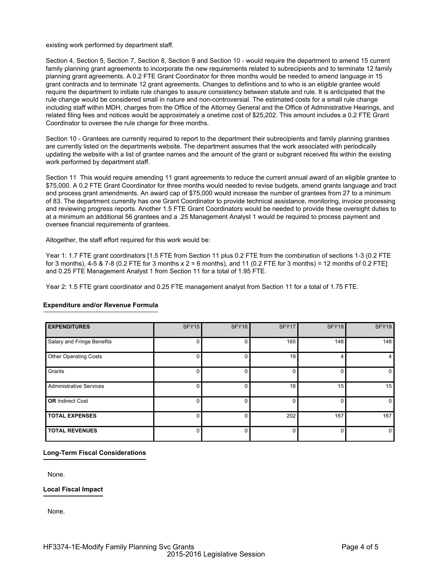existing work performed by department staff.

Section 4, Section 5, Section 7, Section 8, Section 9 and Section 10 - would require the department to amend 15 current family planning grant agreements to incorporate the new requirements related to subrecipients and to terminate 12 family planning grant agreements. A 0.2 FTE Grant Coordinator for three months would be needed to amend language in 15 grant contracts and to terminate 12 grant agreements. Changes to definitions and to who is an eligible grantee would require the department to initiate rule changes to assure consistency between statute and rule. It is anticipated that the rule change would be considered small in nature and non-controversial. The estimated costs for a small rule change including staff within MDH, charges from the Office of the Attorney General and the Office of Administrative Hearings, and related filing fees and notices would be approximately a onetime cost of \$25,202. This amount includes a 0.2 FTE Grant Coordinator to oversee the rule change for three months.

Section 10 - Grantees are currently required to report to the department their subrecipients and family planning grantees are currently listed on the departments website. The department assumes that the work associated with periodically updating the website with a list of grantee names and the amount of the grant or subgrant received fits within the existing work performed by department staff.

Section 11 This would require amending 11 grant agreements to reduce the current annual award of an eligible grantee to \$75,000. A 0.2 FTE Grant Coordinator for three months would needed to revise budgets, amend grants language and tract and process grant amendments. An award cap of \$75,000 would increase the number of grantees from 27 to a minimum of 83. The department currently has one Grant Coordinator to provide technical assistance, monitoring, invoice processing and reviewing progress reports. Another 1.5 FTE Grant Coordinators would be needed to provide these oversight duties to at a minimum an additional 56 grantees and a .25 Management Analyst 1 would be required to process payment and oversee financial requirements of grantees.

Altogether, the staff effort required for this work would be:

Year 1: 1.7 FTE grant coordinators [1.5 FTE from Section 11 plus 0.2 FTE from the combination of sections 1-3 (0.2 FTE for 3 months), 4-5 & 7-8 (0.2 FTE for 3 months  $x = 6$  months), and 11 (0.2 FTE for 3 months) = 12 months of 0.2 FTE] and 0.25 FTE Management Analyst 1 from Section 11 for a total of 1.95 FTE.

Year 2: 1.5 FTE grant coordinator and 0.25 FTE management analyst from Section 11 for a total of 1.75 FTE.

| <b>EXPENDITURES</b>            | SFY15    | SFY <sub>16</sub> | SFY17 | SFY18 | SFY19 |
|--------------------------------|----------|-------------------|-------|-------|-------|
| Salary and Fringe Benefits     | 0        |                   | 165   | 148   | 148   |
| <b>Other Operating Costs</b>   | $\Omega$ |                   | 19    |       |       |
| Grants                         | $\Omega$ |                   |       |       |       |
| <b>Administrative Services</b> | 0        |                   | 18    | 15    | 15    |
| <b>OR</b> Indirect Cost        | $\Omega$ |                   |       |       | o     |
| <b>TOTAL EXPENSES</b>          | 0        |                   | 202   | 167   | 167   |
| <b>TOTAL REVENUES</b>          | 0        |                   |       |       |       |

## **Expenditure and/or Revenue Formula**

### **Long-Term Fiscal Considerations**

None.

**Local Fiscal Impact**

None.